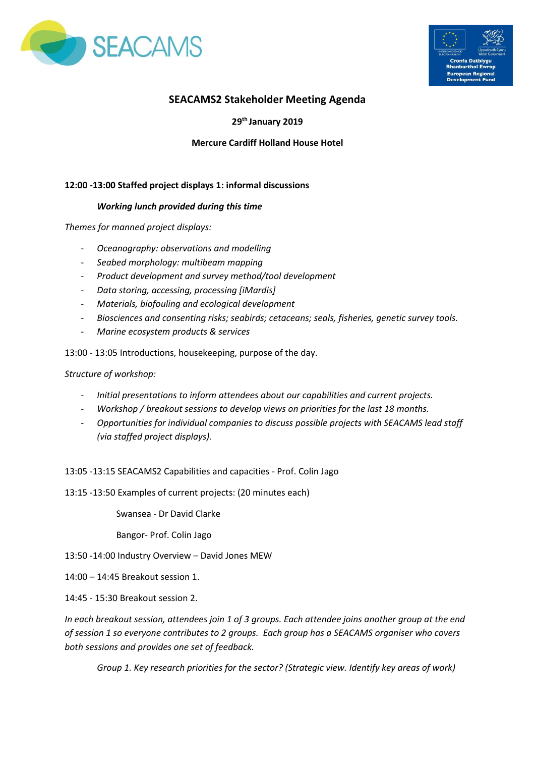



# **SEACAMS2 Stakeholder Meeting Agenda**

# **29th January 2019**

# **Mercure Cardiff Holland House Hotel**

## **12:00 -13:00 Staffed project displays 1: informal discussions**

### *Working lunch provided during this time*

*Themes for manned project displays:*

- *Oceanography: observations and modelling*
- *Seabed morphology: multibeam mapping*
- *Product development and survey method/tool development*
- *Data storing, accessing, processing [iMardis]*
- *Materials, biofouling and ecological development*
- *Biosciences and consenting risks; seabirds; cetaceans; seals, fisheries, genetic survey tools.*
- *Marine ecosystem products & services*

13:00 - 13:05 Introductions, housekeeping, purpose of the day.

*Structure of workshop:*

- *Initial presentations to inform attendees about our capabilities and current projects.*
- *Workshop / breakout sessions to develop views on priorities for the last 18 months.*
- *Opportunities for individual companies to discuss possible projects with SEACAMS lead staff (via staffed project displays).*

13:05 -13:15 SEACAMS2 Capabilities and capacities - Prof. Colin Jago

13:15 -13:50 Examples of current projects: (20 minutes each)

Swansea - Dr David Clarke

Bangor- Prof. Colin Jago

13:50 -14:00 Industry Overview – David Jones MEW

- 14:00 14:45 Breakout session 1.
- 14:45 15:30 Breakout session 2.

*In each breakout session, attendees join 1 of 3 groups. Each attendee joins another group at the end of session 1 so everyone contributes to 2 groups. Each group has a SEACAMS organiser who covers both sessions and provides one set of feedback.*

*Group 1. Key research priorities for the sector? (Strategic view. Identify key areas of work)*